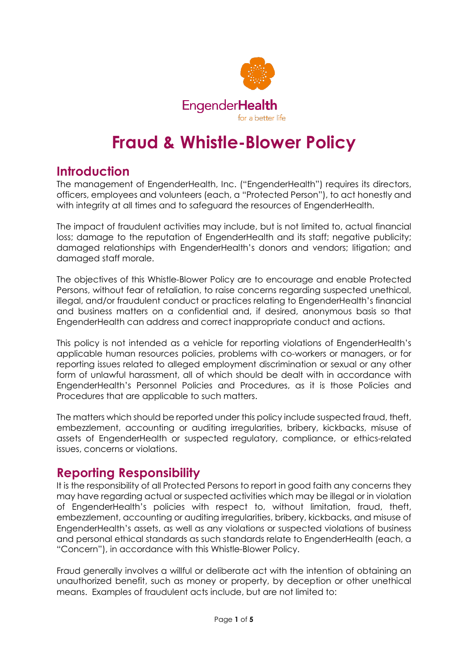

# **Fraud & Whistle-Blower Policy**

# **Introduction**

The management of EngenderHealth, Inc. ("EngenderHealth") requires its directors, officers, employees and volunteers (each, a "Protected Person"), to act honestly and with integrity at all times and to safeguard the resources of EngenderHealth.

The impact of fraudulent activities may include, but is not limited to, actual financial loss; damage to the reputation of EngenderHealth and its staff; negative publicity; damaged relationships with EngenderHealth's donors and vendors; litigation; and damaged staff morale.

The objectives of this Whistle-Blower Policy are to encourage and enable Protected Persons, without fear of retaliation, to raise concerns regarding suspected unethical, illegal, and/or fraudulent conduct or practices relating to EngenderHealth's financial and business matters on a confidential and, if desired, anonymous basis so that EngenderHealth can address and correct inappropriate conduct and actions.

This policy is not intended as a vehicle for reporting violations of EngenderHealth's applicable human resources policies, problems with co-workers or managers, or for reporting issues related to alleged employment discrimination or sexual or any other form of unlawful harassment, all of which should be dealt with in accordance with EngenderHealth's Personnel Policies and Procedures, as it is those Policies and Procedures that are applicable to such matters.

The matters which should be reported under this policy include suspected fraud, theft, embezzlement, accounting or auditing irregularities, bribery, kickbacks, misuse of assets of EngenderHealth or suspected regulatory, compliance, or ethics-related issues, concerns or violations.

### **Reporting Responsibility**

It is the responsibility of all Protected Persons to report in good faith any concerns they may have regarding actual or suspected activities which may be illegal or in violation of EngenderHealth's policies with respect to, without limitation, fraud, theft, embezzlement, accounting or auditing irregularities, bribery, kickbacks, and misuse of EngenderHealth's assets, as well as any violations or suspected violations of business and personal ethical standards as such standards relate to EngenderHealth (each, a "Concern"), in accordance with this Whistle-Blower Policy.

Fraud generally involves a willful or deliberate act with the intention of obtaining an unauthorized benefit, such as money or property, by deception or other unethical means. Examples of fraudulent acts include, but are not limited to: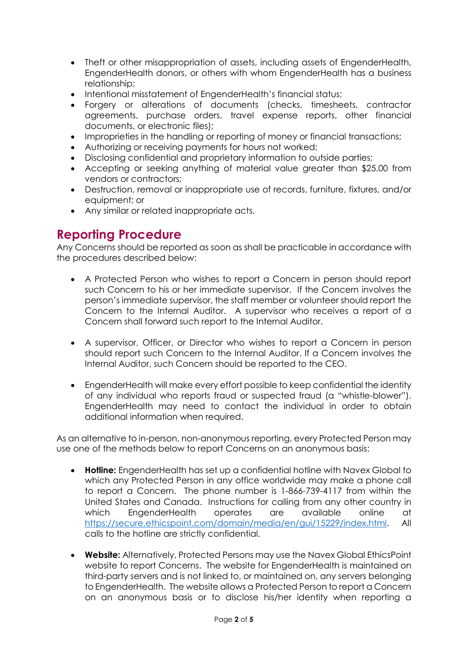- Theft or other misappropriation of assets, including assets of EngenderHealth, EngenderHealth donors, or others with whom EngenderHealth has a business relationship;
- Intentional misstatement of EngenderHealth's financial status;
- Forgery or alterations of documents (checks, timesheets, contractor agreements, purchase orders, travel expense reports, other financial documents, or electronic files);
- Improprieties in the handling or reporting of money or financial transactions;
- Authorizing or receiving payments for hours not worked;
- Disclosing confidential and proprietary information to outside parties;
- Accepting or seeking anything of material value greater than \$25.00 from vendors or contractors;
- Destruction, removal or inappropriate use of records, furniture, fixtures, and/or equipment; or
- Any similar or related inappropriate acts.

### **Reporting Procedure**

Any Concerns should be reported as soon as shall be practicable in accordance with the procedures described below:

- A Protected Person who wishes to report a Concern in person should report such Concern to his or her immediate supervisor. If the Concern involves the person's immediate supervisor, the staff member or volunteer should report the Concern to the Internal Auditor. A supervisor who receives a report of a Concern shall forward such report to the Internal Auditor.
- A supervisor, Officer, or Director who wishes to report a Concern in person should report such Concern to the Internal Auditor. If a Concern involves the Internal Auditor, such Concern should be reported to the CEO.
- EngenderHealth will make every effort possible to keep confidential the identity of any individual who reports fraud or suspected fraud (a "whistle-blower"). EngenderHealth may need to contact the individual in order to obtain additional information when required.

As an alternative to in-person, non-anonymous reporting, every Protected Person may use one of the methods below to report Concerns on an anonymous basis:

- **Hotline:** EngenderHealth has set up a confidential hotline with Navex Global to which any Protected Person in any office worldwide may make a phone call to report a Concern. The phone number is 1‑866-739-4117 from within the United States and Canada. Instructions for calling from any other country in which EngenderHealth operates are available online at [https://secure.ethicspoint.com/domain/media/en/gui/15229/index.html.](https://secure.ethicspoint.com/domain/media/en/gui/15229/index.html) All calls to the hotline are strictly confidential.
- **Website:** Alternatively, Protected Persons may use the Navex Global EthicsPoint website to report Concerns. The website for EngenderHealth is maintained on third-party servers and is not linked to, or maintained on, any servers belonging to EngenderHealth. The website allows a Protected Person to report a Concern on an anonymous basis or to disclose his/her identity when reporting a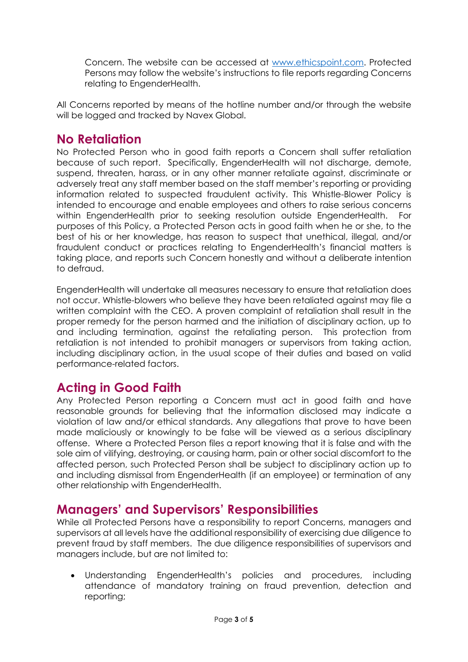Concern. The website can be accessed at [www.ethicspoint.com.](http://www.ethicspoint.com/) Protected Persons may follow the website's instructions to file reports regarding Concerns relating to EngenderHealth.

All Concerns reported by means of the hotline number and/or through the website will be logged and tracked by Navex Global.

#### **No Retaliation**

No Protected Person who in good faith reports a Concern shall suffer retaliation because of such report. Specifically, EngenderHealth will not discharge, demote, suspend, threaten, harass, or in any other manner retaliate against, discriminate or adversely treat any staff member based on the staff member's reporting or providing information related to suspected fraudulent activity. This Whistle-Blower Policy is intended to encourage and enable employees and others to raise serious concerns within EngenderHealth prior to seeking resolution outside EngenderHealth. For purposes of this Policy, a Protected Person acts in good faith when he or she, to the best of his or her knowledge, has reason to suspect that unethical, illegal, and/or fraudulent conduct or practices relating to EngenderHealth's financial matters is taking place, and reports such Concern honestly and without a deliberate intention to defraud.

EngenderHealth will undertake all measures necessary to ensure that retaliation does not occur. Whistle-blowers who believe they have been retaliated against may file a written complaint with the CEO. A proven complaint of retaliation shall result in the proper remedy for the person harmed and the initiation of disciplinary action, up to and including termination, against the retaliating person. This protection from retaliation is not intended to prohibit managers or supervisors from taking action, including disciplinary action, in the usual scope of their duties and based on valid performance-related factors.

# **Acting in Good Faith**

Any Protected Person reporting a Concern must act in good faith and have reasonable grounds for believing that the information disclosed may indicate a violation of law and/or ethical standards. Any allegations that prove to have been made maliciously or knowingly to be false will be viewed as a serious disciplinary offense. Where a Protected Person files a report knowing that it is false and with the sole aim of vilifying, destroying, or causing harm, pain or other social discomfort to the affected person, such Protected Person shall be subject to disciplinary action up to and including dismissal from EngenderHealth (if an employee) or termination of any other relationship with EngenderHealth.

# **Managers' and Supervisors' Responsibilities**

While all Protected Persons have a responsibility to report Concerns, managers and supervisors at all levels have the additional responsibility of exercising due diligence to prevent fraud by staff members. The due diligence responsibilities of supervisors and managers include, but are not limited to:

• Understanding EngenderHealth's policies and procedures, including attendance of mandatory training on fraud prevention, detection and reporting;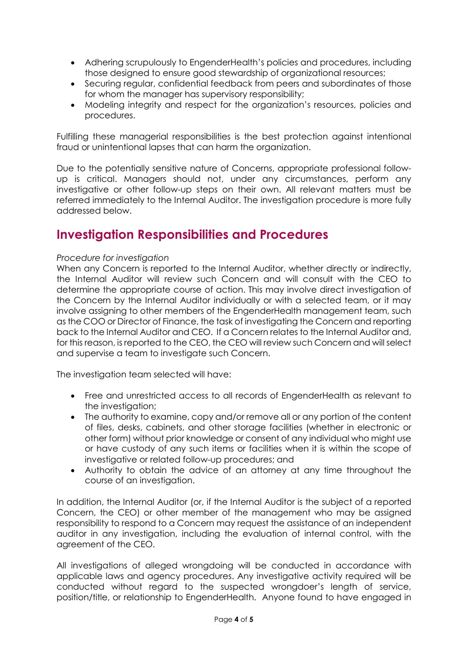- Adhering scrupulously to EngenderHealth's policies and procedures, including those designed to ensure good stewardship of organizational resources;
- Securing regular, confidential feedback from peers and subordinates of those for whom the manager has supervisory responsibility;
- Modeling integrity and respect for the organization's resources, policies and procedures.

Fulfilling these managerial responsibilities is the best protection against intentional fraud or unintentional lapses that can harm the organization.

Due to the potentially sensitive nature of Concerns, appropriate professional followup is critical. Managers should not, under any circumstances, perform any investigative or other follow-up steps on their own. All relevant matters must be referred immediately to the Internal Auditor. The investigation procedure is more fully addressed below.

# **Investigation Responsibilities and Procedures**

#### *Procedure for investigation*

When any Concern is reported to the Internal Auditor, whether directly or indirectly, the Internal Auditor will review such Concern and will consult with the CEO to determine the appropriate course of action. This may involve direct investigation of the Concern by the Internal Auditor individually or with a selected team, or it may involve assigning to other members of the EngenderHealth management team, such as the COO or Director of Finance, the task of investigating the Concern and reporting back to the Internal Auditor and CEO. If a Concern relates to the Internal Auditor and, for this reason, is reported to the CEO, the CEO will review such Concern and will select and supervise a team to investigate such Concern.

The investigation team selected will have:

- Free and unrestricted access to all records of EngenderHealth as relevant to the investigation;
- The authority to examine, copy and/or remove all or any portion of the content of files, desks, cabinets, and other storage facilities (whether in electronic or other form) without prior knowledge or consent of any individual who might use or have custody of any such items or facilities when it is within the scope of investigative or related follow-up procedures; and
- Authority to obtain the advice of an attorney at any time throughout the course of an investigation.

In addition, the Internal Auditor (or, if the Internal Auditor is the subject of a reported Concern, the CEO) or other member of the management who may be assigned responsibility to respond to a Concern may request the assistance of an independent auditor in any investigation, including the evaluation of internal control, with the agreement of the CEO.

All investigations of alleged wrongdoing will be conducted in accordance with applicable laws and agency procedures. Any investigative activity required will be conducted without regard to the suspected wrongdoer's length of service, position/title, or relationship to EngenderHealth. Anyone found to have engaged in